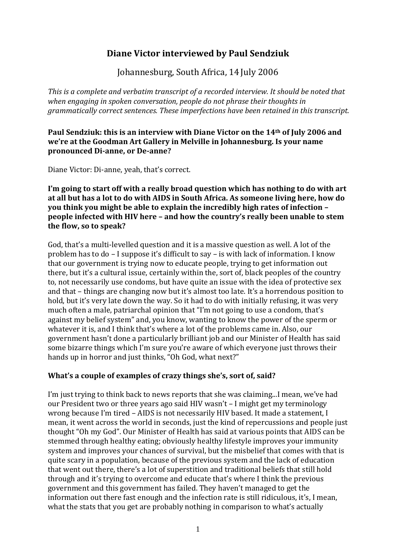# **Diane Victor interviewed by Paul Sendziuk**

Johannesburg, South Africa, 14 July 2006

*This is a complete and verbatim transcript of a recorded interview. It should be noted that when engaging in spoken conversation, people do not phrase their thoughts in grammatically correct sentences. These imperfections have been retained in this transcript.* 

#### **Paul Sendziuk: this is an interview with Diane Victor on the 14th of July 2006 and we're at the Goodman Art Gallery in Melville in Johannesburg. Is your name pronounced Di-anne, or De-anne?**

Diane Victor: Di-anne, yeah, that's correct.

**I'm going to start off with a really broad question which has nothing to do with art at all but has a lot to do with AIDS in South Africa. As someone living here, how do you think you might be able to explain the incredibly high rates of infection – people infected with HIV here – and how the country's really been unable to stem the flow, so to speak?**

God, that's a multi-levelled question and it is a massive question as well. A lot of the problem has to do – I suppose it's difficult to say – is with lack of information. I know that our government is trying now to educate people, trying to get information out there, but it's a cultural issue, certainly within the, sort of, black peoples of the country to, not necessarily use condoms, but have quite an issue with the idea of protective sex and that – things are changing now but it's almost too late. It's a horrendous position to hold, but it's very late down the way. So it had to do with initially refusing, it was very much often a male, patriarchal opinion that "I'm not going to use a condom, that's against my belief system" and, you know, wanting to know the power of the sperm or whatever it is, and I think that's where a lot of the problems came in. Also, our government hasn't done a particularly brilliant job and our Minister of Health has said some bizarre things which I'm sure you're aware of which everyone just throws their hands up in horror and just thinks, "Oh God, what next?"

# **What's a couple of examples of crazy things she's, sort of, said?**

I'm just trying to think back to news reports that she was claiming...I mean, we've had our President two or three years ago said HIV wasn't – I might get my terminology wrong because I'm tired – AIDS is not necessarily HIV based. It made a statement, I mean, it went across the world in seconds, just the kind of repercussions and people just thought "Oh my God". Our Minister of Health has said at various points that AIDS can be stemmed through healthy eating; obviously healthy lifestyle improves your immunity system and improves your chances of survival, but the misbelief that comes with that is quite scary in a population, because of the previous system and the lack of education that went out there, there's a lot of superstition and traditional beliefs that still hold through and it's trying to overcome and educate that's where I think the previous government and this government has failed. They haven't managed to get the information out there fast enough and the infection rate is still ridiculous, it's, I mean, what the stats that you get are probably nothing in comparison to what's actually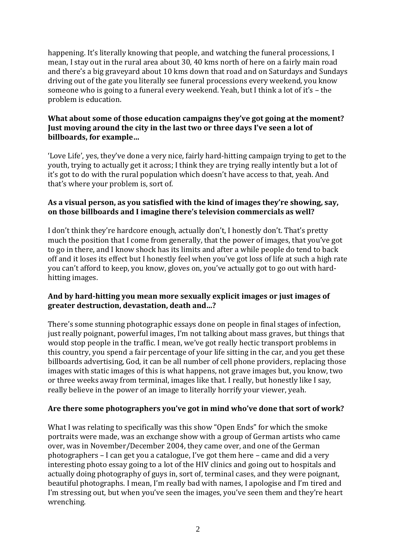happening. It's literally knowing that people, and watching the funeral processions, I mean, I stay out in the rural area about 30, 40 kms north of here on a fairly main road and there's a big graveyard about 10 kms down that road and on Saturdays and Sundays driving out of the gate you literally see funeral processions every weekend, you know someone who is going to a funeral every weekend. Yeah, but I think a lot of it's – the problem is education.

### **What about some of those education campaigns they've got going at the moment? Just moving around the city in the last two or three days I've seen a lot of billboards, for example…**

'Love Life', yes, they've done a very nice, fairly hard-hitting campaign trying to get to the youth, trying to actually get it across; I think they are trying really intently but a lot of it's got to do with the rural population which doesn't have access to that, yeah. And that's where your problem is, sort of.

### **As a visual person, as you satisfied with the kind of images they're showing, say, on those billboards and I imagine there's television commercials as well?**

I don't think they're hardcore enough, actually don't, I honestly don't. That's pretty much the position that I come from generally, that the power of images, that you've got to go in there, and I know shock has its limits and after a while people do tend to back off and it loses its effect but I honestly feel when you've got loss of life at such a high rate you can't afford to keep, you know, gloves on, you've actually got to go out with hardhitting images.

## **And by hard-hitting you mean more sexually explicit images or just images of greater destruction, devastation, death and…?**

There's some stunning photographic essays done on people in final stages of infection, just really poignant, powerful images, I'm not talking about mass graves, but things that would stop people in the traffic. I mean, we've got really hectic transport problems in this country, you spend a fair percentage of your life sitting in the car, and you get these billboards advertising, God, it can be all number of cell phone providers, replacing those images with static images of this is what happens, not grave images but, you know, two or three weeks away from terminal, images like that. I really, but honestly like I say, really believe in the power of an image to literally horrify your viewer, yeah.

# **Are there some photographers you've got in mind who've done that sort of work?**

What I was relating to specifically was this show "Open Ends" for which the smoke portraits were made, was an exchange show with a group of German artists who came over, was in November/December 2004, they came over, and one of the German photographers – I can get you a catalogue, I've got them here – came and did a very interesting photo essay going to a lot of the HIV clinics and going out to hospitals and actually doing photography of guys in, sort of, terminal cases, and they were poignant, beautiful photographs. I mean, I'm really bad with names, I apologise and I'm tired and I'm stressing out, but when you've seen the images, you've seen them and they're heart wrenching.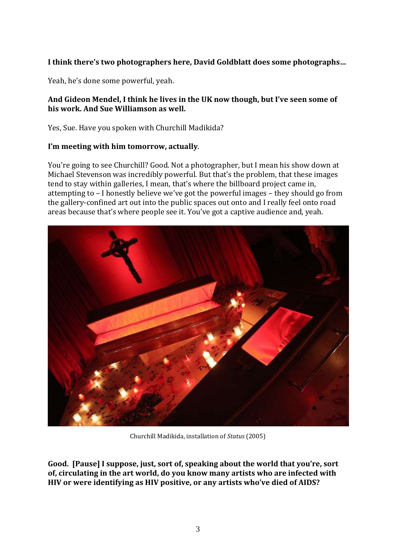# **I think there's two photographers here, David Goldblatt does some photographs…**

Yeah, he's done some powerful, yeah.

## **And Gideon Mendel, I think he lives in the UK now though, but I've seen some of his work. And Sue Williamson as well.**

Yes, Sue. Have you spoken with Churchill Madikida?

## **I'm meeting with him tomorrow, actually**.

You're going to see Churchill? Good. Not a photographer, but I mean his show down at Michael Stevenson was incredibly powerful. But that's the problem, that these images tend to stay within galleries, I mean, that's where the billboard project came in, attempting to – I honestly believe we've got the powerful images – they should go from the gallery-confined art out into the public spaces out onto and I really feel onto road areas because that's where people see it. You've got a captive audience and, yeah.



Churchill Madikida, installation of *Status* (2005)

**Good. [Pause] I suppose, just, sort of, speaking about the world that you're, sort of, circulating in the art world, do you know many artists who are infected with HIV or were identifying as HIV positive, or any artists who've died of AIDS?**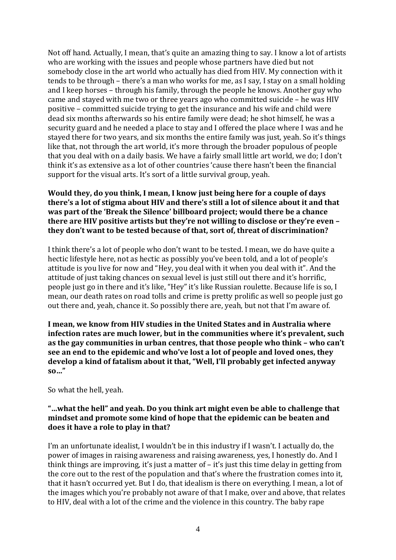Not off hand. Actually, I mean, that's quite an amazing thing to say. I know a lot of artists who are working with the issues and people whose partners have died but not somebody close in the art world who actually has died from HIV. My connection with it tends to be through – there's a man who works for me, as I say, I stay on a small holding and I keep horses – through his family, through the people he knows. Another guy who came and stayed with me two or three years ago who committed suicide – he was HIV positive – committed suicide trying to get the insurance and his wife and child were dead six months afterwards so his entire family were dead; he shot himself, he was a security guard and he needed a place to stay and I offered the place where I was and he stayed there for two years, and six months the entire family was just, yeah. So it's things like that, not through the art world, it's more through the broader populous of people that you deal with on a daily basis. We have a fairly small little art world, we do; I don't think it's as extensive as a lot of other countries 'cause there hasn't been the financial support for the visual arts. It's sort of a little survival group, yeah.

**Would they, do you think, I mean, I know just being here for a couple of days there's a lot of stigma about HIV and there's still a lot of silence about it and that was part of the 'Break the Silence' billboard project; would there be a chance there are HIV positive artists but they're not willing to disclose or they're even – they don't want to be tested because of that, sort of, threat of discrimination?**

I think there's a lot of people who don't want to be tested. I mean, we do have quite a hectic lifestyle here, not as hectic as possibly you've been told, and a lot of people's attitude is you live for now and "Hey, you deal with it when you deal with it". And the attitude of just taking chances on sexual level is just still out there and it's horrific, people just go in there and it's like, "Hey" it's like Russian roulette. Because life is so, I mean, our death rates on road tolls and crime is pretty prolific as well so people just go out there and, yeah, chance it. So possibly there are, yeah, but not that I'm aware of.

**I mean, we know from HIV studies in the United States and in Australia where infection rates are much lower, but in the communities where it's prevalent, such as the gay communities in urban centres, that those people who think – who can't see an end to the epidemic and who've lost a lot of people and loved ones, they develop a kind of fatalism about it that, "Well, I'll probably get infected anyway so…"**

So what the hell, yeah.

### **"…what the hell" and yeah. Do you think art might even be able to challenge that mindset and promote some kind of hope that the epidemic can be beaten and does it have a role to play in that?**

I'm an unfortunate idealist, I wouldn't be in this industry if I wasn't. I actually do, the power of images in raising awareness and raising awareness, yes, I honestly do. And I think things are improving, it's just a matter of  $-$  it's just this time delay in getting from the core out to the rest of the population and that's where the frustration comes into it, that it hasn't occurred yet. But I do, that idealism is there on everything. I mean, a lot of the images which you're probably not aware of that I make, over and above, that relates to HIV, deal with a lot of the crime and the violence in this country. The baby rape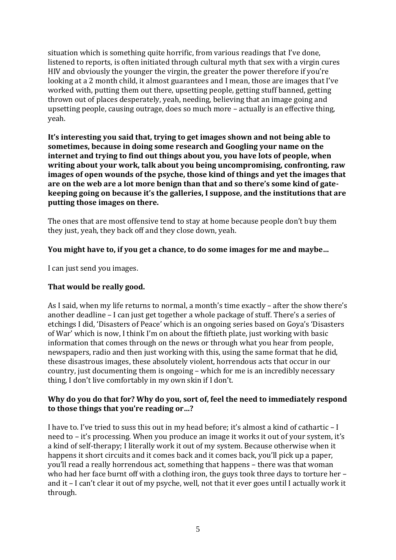situation which is something quite horrific, from various readings that I've done, listened to reports, is often initiated through cultural myth that sex with a virgin cures HIV and obviously the younger the virgin, the greater the power therefore if you're looking at a 2 month child, it almost guarantees and I mean, those are images that I've worked with, putting them out there, upsetting people, getting stuff banned, getting thrown out of places desperately, yeah, needing, believing that an image going and upsetting people, causing outrage, does so much more – actually is an effective thing, yeah.

**It's interesting you said that, trying to get images shown and not being able to sometimes, because in doing some research and Googling your name on the internet and trying to find out things about you, you have lots of people, when writing about your work, talk about you being uncompromising, confronting, raw images of open wounds of the psyche, those kind of things and yet the images that are on the web are a lot more benign than that and so there's some kind of gatekeeping going on because it's the galleries, I suppose, and the institutions that are putting those images on there.**

The ones that are most offensive tend to stay at home because people don't buy them they just, yeah, they back off and they close down, yeah.

#### **You might have to, if you get a chance, to do some images for me and maybe…**

I can just send you images.

# **That would be really good.**

As I said, when my life returns to normal, a month's time exactly – after the show there's another deadline – I can just get together a whole package of stuff. There's a series of etchings I did, 'Disasters of Peace' which is an ongoing series based on Goya's 'Disasters of War' which is now, I think I'm on about the fiftieth plate, just working with basic information that comes through on the news or through what you hear from people, newspapers, radio and then just working with this, using the same format that he did, these disastrous images, these absolutely violent, horrendous acts that occur in our country, just documenting them is ongoing – which for me is an incredibly necessary thing, I don't live comfortably in my own skin if I don't.

#### **Why do you do that for? Why do you, sort of, feel the need to immediately respond to those things that you're reading or…?**

I have to. I've tried to suss this out in my head before; it's almost a kind of cathartic – I need to – it's processing. When you produce an image it works it out of your system, it's a kind of self-therapy; I literally work it out of my system. Because otherwise when it happens it short circuits and it comes back and it comes back, you'll pick up a paper, you'll read a really horrendous act, something that happens – there was that woman who had her face burnt off with a clothing iron, the guys took three days to torture her – and it – I can't clear it out of my psyche, well, not that it ever goes until I actually work it through.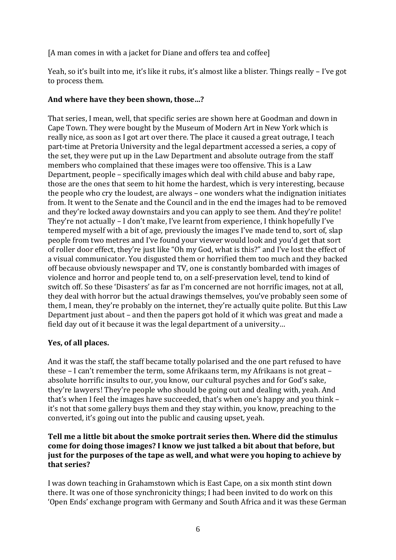[A man comes in with a jacket for Diane and offers tea and coffee]

Yeah, so it's built into me, it's like it rubs, it's almost like a blister. Things really – I've got to process them.

# **And where have they been shown, those…?**

That series, I mean, well, that specific series are shown here at Goodman and down in Cape Town. They were bought by the Museum of Modern Art in New York which is really nice, as soon as I got art over there. The place it caused a great outrage, I teach part-time at Pretoria University and the legal department accessed a series, a copy of the set, they were put up in the Law Department and absolute outrage from the staff members who complained that these images were too offensive. This is a Law Department, people – specifically images which deal with child abuse and baby rape, those are the ones that seem to hit home the hardest, which is very interesting, because the people who cry the loudest, are always – one wonders what the indignation initiates from. It went to the Senate and the Council and in the end the images had to be removed and they're locked away downstairs and you can apply to see them. And they're polite! They're not actually – I don't make, I've learnt from experience, I think hopefully I've tempered myself with a bit of age, previously the images I've made tend to, sort of, slap people from two metres and I've found your viewer would look and you'd get that sort of roller door effect, they're just like "Oh my God, what is this?" and I've lost the effect of a visual communicator. You disgusted them or horrified them too much and they backed off because obviously newspaper and TV, one is constantly bombarded with images of violence and horror and people tend to, on a self-preservation level, tend to kind of switch off. So these 'Disasters' as far as I'm concerned are not horrific images, not at all, they deal with horror but the actual drawings themselves, you've probably seen some of them, I mean, they're probably on the internet, they're actually quite polite. But this Law Department just about – and then the papers got hold of it which was great and made a field day out of it because it was the legal department of a university…

# **Yes, of all places.**

And it was the staff, the staff became totally polarised and the one part refused to have these – I can't remember the term, some Afrikaans term, my Afrikaans is not great – absolute horrific insults to our, you know, our cultural psyches and for God's sake, they're lawyers! They're people who should be going out and dealing with, yeah. And that's when I feel the images have succeeded, that's when one's happy and you think – it's not that some gallery buys them and they stay within, you know, preaching to the converted, it's going out into the public and causing upset, yeah.

### **Tell me a little bit about the smoke portrait series then. Where did the stimulus come for doing those images? I know we just talked a bit about that before, but just for the purposes of the tape as well, and what were you hoping to achieve by that series?**

I was down teaching in Grahamstown which is East Cape, on a six month stint down there. It was one of those synchronicity things; I had been invited to do work on this 'Open Ends' exchange program with Germany and South Africa and it was these German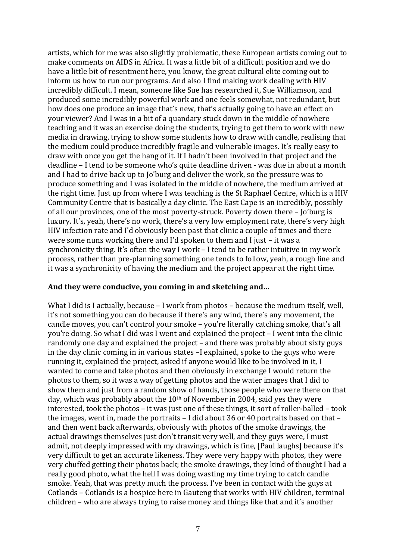artists, which for me was also slightly problematic, these European artists coming out to make comments on AIDS in Africa. It was a little bit of a difficult position and we do have a little bit of resentment here, you know, the great cultural elite coming out to inform us how to run our programs. And also I find making work dealing with HIV incredibly difficult. I mean, someone like Sue has researched it, Sue Williamson, and produced some incredibly powerful work and one feels somewhat, not redundant, but how does one produce an image that's new, that's actually going to have an effect on your viewer? And I was in a bit of a quandary stuck down in the middle of nowhere teaching and it was an exercise doing the students, trying to get them to work with new media in drawing, trying to show some students how to draw with candle, realising that the medium could produce incredibly fragile and vulnerable images. It's really easy to draw with once you get the hang of it. If I hadn't been involved in that project and the deadline – I tend to be someone who's quite deadline driven - was due in about a month and I had to drive back up to Jo'burg and deliver the work, so the pressure was to produce something and I was isolated in the middle of nowhere, the medium arrived at the right time. Just up from where I was teaching is the St Raphael Centre, which is a HIV Community Centre that is basically a day clinic. The East Cape is an incredibly, possibly of all our provinces, one of the most poverty-struck. Poverty down there – Jo'burg is luxury. It's, yeah, there's no work, there's a very low employment rate, there's very high HIV infection rate and I'd obviously been past that clinic a couple of times and there were some nuns working there and I'd spoken to them and I just – it was a synchronicity thing. It's often the way I work – I tend to be rather intuitive in my work process, rather than pre-planning something one tends to follow, yeah, a rough line and it was a synchronicity of having the medium and the project appear at the right time.

#### **And they were conducive, you coming in and sketching and…**

What I did is I actually, because – I work from photos – because the medium itself, well, it's not something you can do because if there's any wind, there's any movement, the candle moves, you can't control your smoke – you're literally catching smoke, that's all you're doing. So what I did was I went and explained the project – I went into the clinic randomly one day and explained the project – and there was probably about sixty guys in the day clinic coming in in various states –I explained, spoke to the guys who were running it, explained the project, asked if anyone would like to be involved in it, I wanted to come and take photos and then obviously in exchange I would return the photos to them, so it was a way of getting photos and the water images that I did to show them and just from a random show of hands, those people who were there on that day, which was probably about the  $10<sup>th</sup>$  of November in 2004, said yes they were interested, took the photos – it was just one of these things, it sort of roller-balled – took the images, went in, made the portraits – I did about 36 or 40 portraits based on that – and then went back afterwards, obviously with photos of the smoke drawings, the actual drawings themselves just don't transit very well, and they guys were, I must admit, not deeply impressed with my drawings, which is fine, [Paul laughs] because it's very difficult to get an accurate likeness. They were very happy with photos, they were very chuffed getting their photos back; the smoke drawings, they kind of thought I had a really good photo, what the hell I was doing wasting my time trying to catch candle smoke. Yeah, that was pretty much the process. I've been in contact with the guys at Cotlands – Cotlands is a hospice here in Gauteng that works with HIV children, terminal children – who are always trying to raise money and things like that and it's another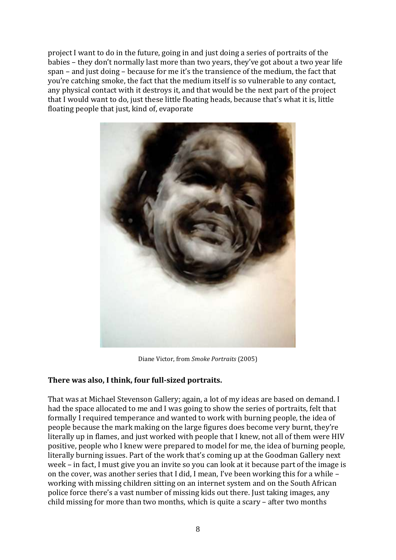project I want to do in the future, going in and just doing a series of portraits of the babies – they don't normally last more than two years, they've got about a two year life span – and just doing – because for me it's the transience of the medium, the fact that you're catching smoke, the fact that the medium itself is so vulnerable to any contact, any physical contact with it destroys it, and that would be the next part of the project that I would want to do, just these little floating heads, because that's what it is, little floating people that just, kind of, evaporate



Diane Victor, from *Smoke Portraits* (2005)

# **There was also, I think, four full-sized portraits.**

That was at Michael Stevenson Gallery; again, a lot of my ideas are based on demand. I had the space allocated to me and I was going to show the series of portraits, felt that formally I required temperance and wanted to work with burning people, the idea of people because the mark making on the large figures does become very burnt, they're literally up in flames, and just worked with people that I knew, not all of them were HIV positive, people who I knew were prepared to model for me, the idea of burning people, literally burning issues. Part of the work that's coming up at the Goodman Gallery next week – in fact, I must give you an invite so you can look at it because part of the image is on the cover, was another series that I did, I mean, I've been working this for a while – working with missing children sitting on an internet system and on the South African police force there's a vast number of missing kids out there. Just taking images, any child missing for more than two months, which is quite a scary – after two months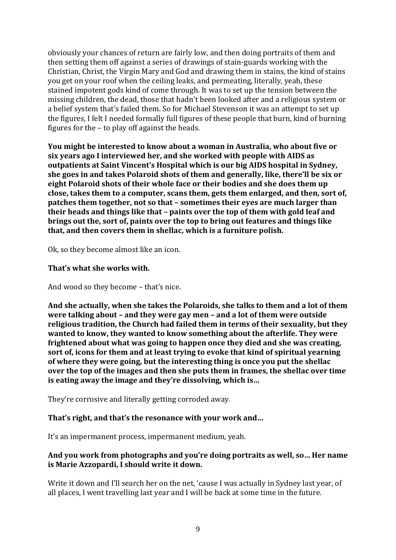obviously your chances of return are fairly low, and then doing portraits of them and then setting them off against a series of drawings of stain-guards working with the Christian, Christ, the Virgin Mary and God and drawing them in stains, the kind of stains you get on your roof when the ceiling leaks, and permeating, literally, yeah, these stained impotent gods kind of come through. It was to set up the tension between the missing children, the dead, those that hadn't been looked after and a religious system or a belief system that's failed them. So for Michael Stevenson it was an attempt to set up the figures, I felt I needed formally full figures of these people that burn, kind of burning figures for the – to play off against the heads.

**You might be interested to know about a woman in Australia, who about five or six years ago I interviewed her, and she worked with people with AIDS as outpatients at Saint Vincent's Hospital which is our big AIDS hospital in Sydney, she goes in and takes Polaroid shots of them and generally, like, there'll be six or eight Polaroid shots of their whole face or their bodies and she does them up close, takes them to a computer, scans them, gets them enlarged, and then, sort of, patches them together, not so that – sometimes their eyes are much larger than their heads and things like that – paints over the top of them with gold leaf and brings out the, sort of, paints over the top to bring out features and things like that, and then covers them in shellac, which is a furniture polish.**

Ok, so they become almost like an icon.

#### **That's what she works with.**

And wood so they become – that's nice.

**And she actually, when she takes the Polaroids, she talks to them and a lot of them were talking about – and they were gay men – and a lot of them were outside religious tradition, the Church had failed them in terms of their sexuality, but they wanted to know, they wanted to know something about the afterlife. They were frightened about what was going to happen once they died and she was creating, sort of, icons for them and at least trying to evoke that kind of spiritual yearning of where they were going, but the interesting thing is once you put the shellac over the top of the images and then she puts them in frames, the shellac over time is eating away the image and they're dissolving, which is…**

They're corrosive and literally getting corroded away.

#### **That's right, and that's the resonance with your work and…**

It's an impermanent process, impermanent medium, yeah.

## **And you work from photographs and you're doing portraits as well, so… Her name is Marie Azzopardi, I should write it down.**

Write it down and I'll search her on the net, 'cause I was actually in Sydney last year, of all places, I went travelling last year and I will be back at some time in the future.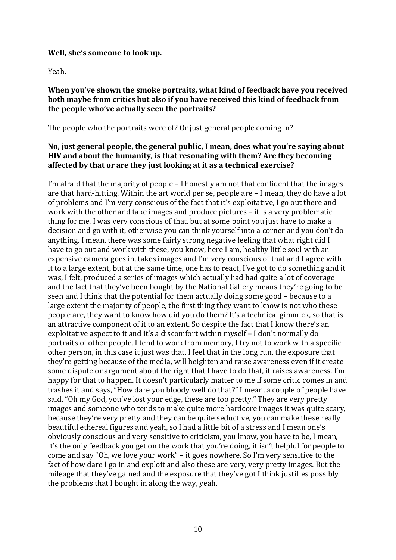#### **Well, she's someone to look up.**

Yeah.

#### **When you've shown the smoke portraits, what kind of feedback have you received both maybe from critics but also if you have received this kind of feedback from the people who've actually seen the portraits?**

The people who the portraits were of? Or just general people coming in?

## **No, just general people, the general public, I mean, does what you're saying about HIV and about the humanity, is that resonating with them? Are they becoming affected by that or are they just looking at it as a technical exercise?**

I'm afraid that the majority of people – I honestly am not that confident that the images are that hard-hitting. Within the art world per se, people are – I mean, they do have a lot of problems and I'm very conscious of the fact that it's exploitative, I go out there and work with the other and take images and produce pictures – it is a very problematic thing for me. I was very conscious of that, but at some point you just have to make a decision and go with it, otherwise you can think yourself into a corner and you don't do anything. I mean, there was some fairly strong negative feeling that what right did I have to go out and work with these, you know, here I am, healthy little soul with an expensive camera goes in, takes images and I'm very conscious of that and I agree with it to a large extent, but at the same time, one has to react, I've got to do something and it was, I felt, produced a series of images which actually had had quite a lot of coverage and the fact that they've been bought by the National Gallery means they're going to be seen and I think that the potential for them actually doing some good – because to a large extent the majority of people, the first thing they want to know is not who these people are, they want to know how did you do them? It's a technical gimmick, so that is an attractive component of it to an extent. So despite the fact that I know there's an exploitative aspect to it and it's a discomfort within myself – I don't normally do portraits of other people, I tend to work from memory, I try not to work with a specific other person, in this case it just was that. I feel that in the long run, the exposure that they're getting because of the media, will heighten and raise awareness even if it create some dispute or argument about the right that I have to do that, it raises awareness. I'm happy for that to happen. It doesn't particularly matter to me if some critic comes in and trashes it and says, "How dare you bloody well do that?" I mean, a couple of people have said, "Oh my God, you've lost your edge, these are too pretty." They are very pretty images and someone who tends to make quite more hardcore images it was quite scary, because they're very pretty and they can be quite seductive, you can make these really beautiful ethereal figures and yeah, so I had a little bit of a stress and I mean one's obviously conscious and very sensitive to criticism, you know, you have to be, I mean, it's the only feedback you get on the work that you're doing, it isn't helpful for people to come and say "Oh, we love your work" – it goes nowhere. So I'm very sensitive to the fact of how dare I go in and exploit and also these are very, very pretty images. But the mileage that they've gained and the exposure that they've got I think justifies possibly the problems that I bought in along the way, yeah.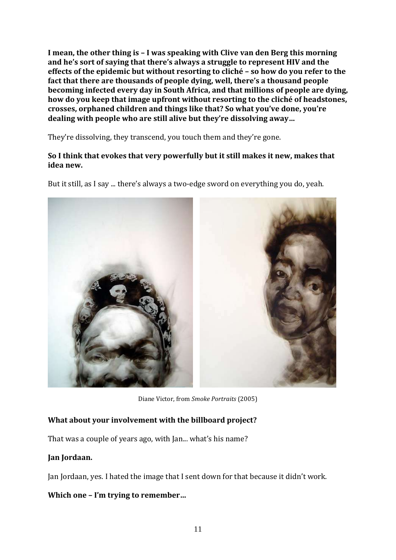**I mean, the other thing is – I was speaking with Clive van den Berg this morning and he's sort of saying that there's always a struggle to represent HIV and the effects of the epidemic but without resorting to cliché – so how do you refer to the fact that there are thousands of people dying, well, there's a thousand people becoming infected every day in South Africa, and that millions of people are dying, how do you keep that image upfront without resorting to the cliché of headstones, crosses, orphaned children and things like that? So what you've done, you're dealing with people who are still alive but they're dissolving away…**

They're dissolving, they transcend, you touch them and they're gone.

# **So I think that evokes that very powerfully but it still makes it new, makes that idea new.**

But it still, as I say ... there's always a two-edge sword on everything you do, yeah.



Diane Victor, from *Smoke Portraits* (2005)

# **What about your involvement with the billboard project?**

That was a couple of years ago, with Jan... what's his name?

# **Jan Jordaan.**

Jan Jordaan, yes. I hated the image that I sent down for that because it didn't work.

**Which one – I'm trying to remember…**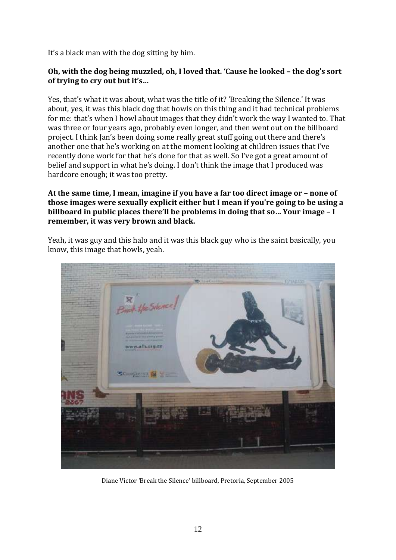It's a black man with the dog sitting by him.

### **Oh, with the dog being muzzled, oh, I loved that. 'Cause he looked – the dog's sort of trying to cry out but it's…**

Yes, that's what it was about, what was the title of it? 'Breaking the Silence.' It was about, yes, it was this black dog that howls on this thing and it had technical problems for me: that's when I howl about images that they didn't work the way I wanted to. That was three or four years ago, probably even longer, and then went out on the billboard project. I think Jan's been doing some really great stuff going out there and there's another one that he's working on at the moment looking at children issues that I've recently done work for that he's done for that as well. So I've got a great amount of belief and support in what he's doing. I don't think the image that I produced was hardcore enough; it was too pretty.

#### **At the same time, I mean, imagine if you have a far too direct image or – none of those images were sexually explicit either but I mean if you're going to be using a billboard in public places there'll be problems in doing that so… Your image – I remember, it was very brown and black.**

Yeah, it was guy and this halo and it was this black guy who is the saint basically, you know, this image that howls, yeah.



Diane Victor 'Break the Silence' billboard, Pretoria, September 2005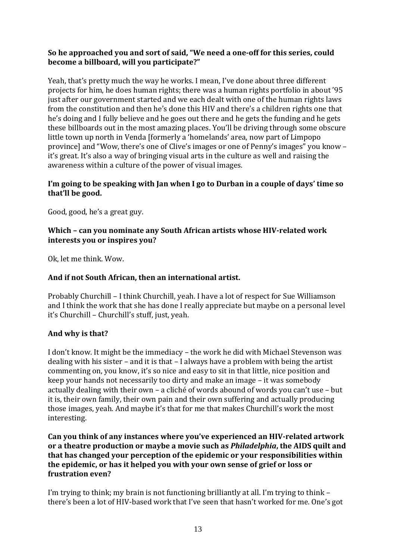# **So he approached you and sort of said, "We need a one-off for this series, could become a billboard, will you participate?"**

Yeah, that's pretty much the way he works. I mean, I've done about three different projects for him, he does human rights; there was a human rights portfolio in about '95 just after our government started and we each dealt with one of the human rights laws from the constitution and then he's done this HIV and there's a children rights one that he's doing and I fully believe and he goes out there and he gets the funding and he gets these billboards out in the most amazing places. You'll be driving through some obscure little town up north in Venda [formerly a 'homelands' area, now part of Limpopo province] and "Wow, there's one of Clive's images or one of Penny's images" you know – it's great. It's also a way of bringing visual arts in the culture as well and raising the awareness within a culture of the power of visual images.

# **I'm going to be speaking with Jan when I go to Durban in a couple of days' time so that'll be good.**

Good, good, he's a great guy.

## **Which – can you nominate any South African artists whose HIV-related work interests you or inspires you?**

Ok, let me think. Wow.

# **And if not South African, then an international artist.**

Probably Churchill – I think Churchill, yeah. I have a lot of respect for Sue Williamson and I think the work that she has done I really appreciate but maybe on a personal level it's Churchill – Churchill's stuff, just, yeah.

# **And why is that?**

I don't know. It might be the immediacy – the work he did with Michael Stevenson was dealing with his sister – and it is that – I always have a problem with being the artist commenting on, you know, it's so nice and easy to sit in that little, nice position and keep your hands not necessarily too dirty and make an image – it was somebody actually dealing with their own – a cliché of words abound of words you can't use – but it is, their own family, their own pain and their own suffering and actually producing those images, yeah. And maybe it's that for me that makes Churchill's work the most interesting.

### **Can you think of any instances where you've experienced an HIV-related artwork or a theatre production or maybe a movie such as** *Philadelphia***, the AIDS quilt and that has changed your perception of the epidemic or your responsibilities within the epidemic, or has it helped you with your own sense of grief or loss or frustration even?**

I'm trying to think; my brain is not functioning brilliantly at all. I'm trying to think – there's been a lot of HIV-based work that I've seen that hasn't worked for me. One's got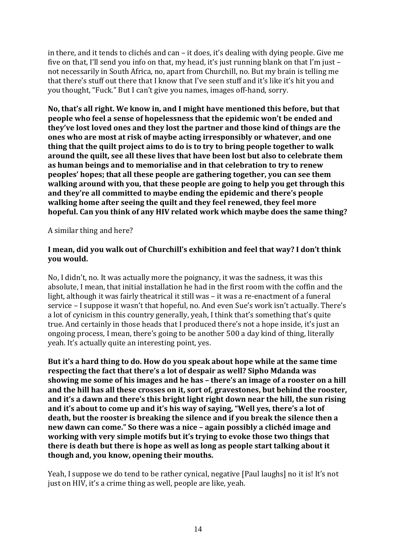in there, and it tends to clichés and can – it does, it's dealing with dying people. Give me five on that, I'll send you info on that, my head, it's just running blank on that I'm just – not necessarily in South Africa, no, apart from Churchill, no. But my brain is telling me that there's stuff out there that I know that I've seen stuff and it's like it's hit you and you thought, "Fuck." But I can't give you names, images off-hand, sorry.

**No, that's all right. We know in, and I might have mentioned this before, but that people who feel a sense of hopelessness that the epidemic won't be ended and they've lost loved ones and they lost the partner and those kind of things are the ones who are most at risk of maybe acting irresponsibly or whatever, and one thing that the quilt project aims to do is to try to bring people together to walk around the quilt, see all these lives that have been lost but also to celebrate them as human beings and to memorialise and in that celebration to try to renew peoples' hopes; that all these people are gathering together, you can see them walking around with you, that these people are going to help you get through this and they're all committed to maybe ending the epidemic and there's people walking home after seeing the quilt and they feel renewed, they feel more hopeful. Can you think of any HIV related work which maybe does the same thing?**

A similar thing and here?

#### **I mean, did you walk out of Churchill's exhibition and feel that way? I don't think you would.**

No, I didn't, no. It was actually more the poignancy, it was the sadness, it was this absolute, I mean, that initial installation he had in the first room with the coffin and the light, although it was fairly theatrical it still was – it was a re-enactment of a funeral service – I suppose it wasn't that hopeful, no. And even Sue's work isn't actually. There's a lot of cynicism in this country generally, yeah, I think that's something that's quite true. And certainly in those heads that I produced there's not a hope inside, it's just an ongoing process, I mean, there's going to be another 500 a day kind of thing, literally yeah. It's actually quite an interesting point, yes.

**But it's a hard thing to do. How do you speak about hope while at the same time respecting the fact that there's a lot of despair as well? Sipho Mdanda was showing me some of his images and he has – there's an image of a rooster on a hill and the hill has all these crosses on it, sort of, gravestones, but behind the rooster, and it's a dawn and there's this bright light right down near the hill, the sun rising and it's about to come up and it's his way of saying, "Well yes, there's a lot of death, but the rooster is breaking the silence and if you break the silence then a new dawn can come." So there was a nice – again possibly a clichéd image and working with very simple motifs but it's trying to evoke those two things that there is death but there is hope as well as long as people start talking about it though and, you know, opening their mouths.**

Yeah, I suppose we do tend to be rather cynical, negative [Paul laughs] no it is! It's not just on HIV, it's a crime thing as well, people are like, yeah.